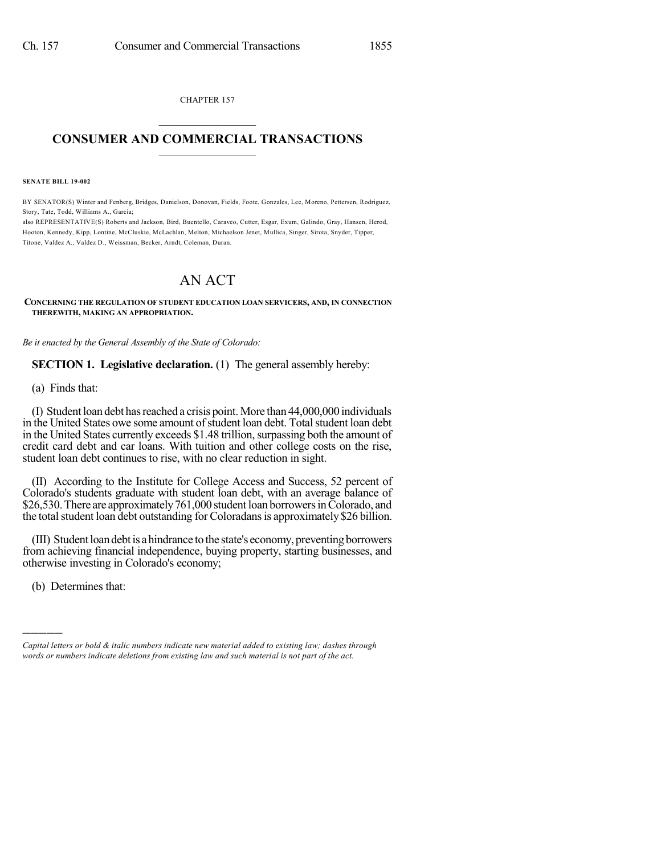CHAPTER 157  $\mathcal{L}_\text{max}$  . The set of the set of the set of the set of the set of the set of the set of the set of the set of the set of the set of the set of the set of the set of the set of the set of the set of the set of the set

## **CONSUMER AND COMMERCIAL TRANSACTIONS**  $\_$   $\_$   $\_$   $\_$   $\_$   $\_$   $\_$   $\_$

**SENATE BILL 19-002**

BY SENATOR(S) Winter and Fenberg, Bridges, Danielson, Donovan, Fields, Foote, Gonzales, Lee, Moreno, Pettersen, Rodriguez, Story, Tate, Todd, Williams A., Garcia;

also REPRESENTATIVE(S) Roberts and Jackson, Bird, Buentello, Caraveo, Cutter, Esgar, Exum, Galindo, Gray, Hansen, Herod, Hooton, Kennedy, Kipp, Lontine, McCluskie, McLachlan, Melton, Michaelson Jenet, Mullica, Singer, Sirota, Snyder, Tipper, Titone, Valdez A., Valdez D., Weissman, Becker, Arndt, Coleman, Duran.

## AN ACT

**CONCERNING THE REGULATION OF STUDENT EDUCATION LOAN SERVICERS, AND, IN CONNECTION THEREWITH, MAKING AN APPROPRIATION.**

*Be it enacted by the General Assembly of the State of Colorado:*

**SECTION 1. Legislative declaration.** (1) The general assembly hereby:

(a) Finds that:

(I) Student loan debt has reached a crisis point. More than  $44,000,000$  individuals in the United States owe some amount of student loan debt. Total student loan debt. in the United States currently exceeds \$1.48 trillion, surpassing both the amount of credit card debt and car loans. With tuition and other college costs on the rise, student loan debt continues to rise, with no clear reduction in sight.

(II) According to the Institute for College Access and Success, 52 percent of Colorado's students graduate with student loan debt, with an average balance of \$26,530. There are approximately 761,000 student loan borrowers in Colorado, and the total student loan debt outstanding for Coloradans is approximately \$26 billion.

(III) Student loan debt is a hindrance to the state's economy, preventing borrowers from achieving financial independence, buying property, starting businesses, and otherwise investing in Colorado's economy;

(b) Determines that:

)))))

*Capital letters or bold & italic numbers indicate new material added to existing law; dashes through words or numbers indicate deletions from existing law and such material is not part of the act.*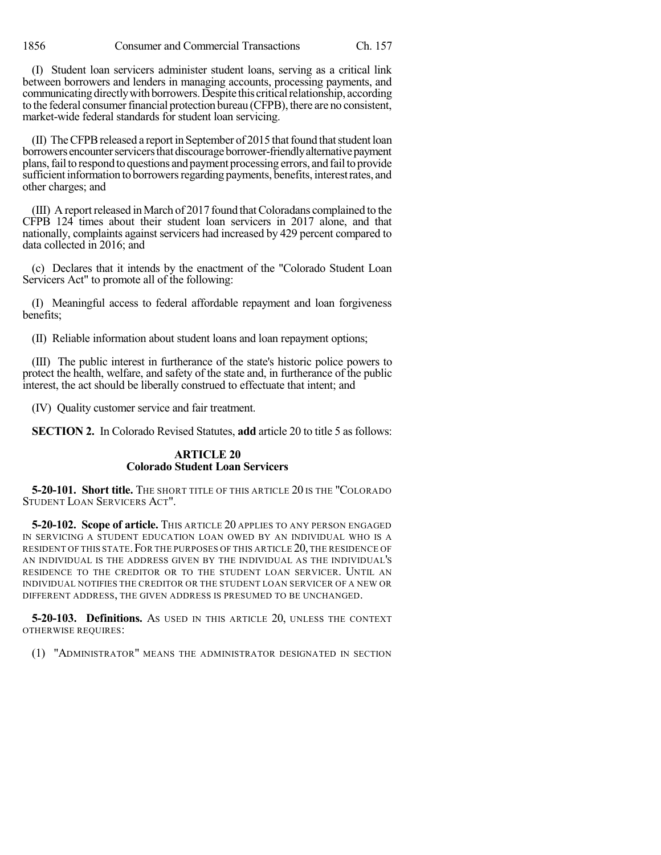(I) Student loan servicers administer student loans, serving as a critical link between borrowers and lenders in managing accounts, processing payments, and communicating directly with borrowers. Despite this critical relationship, according to the federal consumer financial protection bureau (CFPB), there are no consistent, market-wide federal standards for student loan servicing.

(II) The CFPB released a report in September of 2015 that found that student loan borrowers encounter servicers that discourage borrower-friendly alternative payment plans,failto respond to questions and payment processing errors, and failto provide sufficient information to borrowers regarding payments, benefits, interest rates, and other charges; and

(III) A report released in March of 2017 found that Coloradans complained to the CFPB 124 times about their student loan servicers in 2017 alone, and that nationally, complaints against servicers had increased by 429 percent compared to data collected in 2016; and

(c) Declares that it intends by the enactment of the "Colorado Student Loan Servicers Act" to promote all of the following:

(I) Meaningful access to federal affordable repayment and loan forgiveness benefits;

(II) Reliable information about student loans and loan repayment options;

(III) The public interest in furtherance of the state's historic police powers to protect the health, welfare, and safety of the state and, in furtherance of the public interest, the act should be liberally construed to effectuate that intent; and

(IV) Quality customer service and fair treatment.

**SECTION 2.** In Colorado Revised Statutes, **add** article 20 to title 5 as follows:

## **ARTICLE 20 Colorado Student Loan Servicers**

**5-20-101. Short title.** THE SHORT TITLE OF THIS ARTICLE 20 IS THE "COLORADO STUDENT LOAN SERVICERS ACT".

**5-20-102. Scope of article.** THIS ARTICLE 20 APPLIES TO ANY PERSON ENGAGED IN SERVICING A STUDENT EDUCATION LOAN OWED BY AN INDIVIDUAL WHO IS A RESIDENT OF THIS STATE. FOR THE PURPOSES OF THIS ARTICLE 20, THE RESIDENCE OF AN INDIVIDUAL IS THE ADDRESS GIVEN BY THE INDIVIDUAL AS THE INDIVIDUAL'S RESIDENCE TO THE CREDITOR OR TO THE STUDENT LOAN SERVICER. UNTIL AN INDIVIDUAL NOTIFIES THE CREDITOR OR THE STUDENT LOAN SERVICER OF A NEW OR DIFFERENT ADDRESS, THE GIVEN ADDRESS IS PRESUMED TO BE UNCHANGED.

**5-20-103. Definitions.** AS USED IN THIS ARTICLE 20, UNLESS THE CONTEXT OTHERWISE REQUIRES:

(1) "ADMINISTRATOR" MEANS THE ADMINISTRATOR DESIGNATED IN SECTION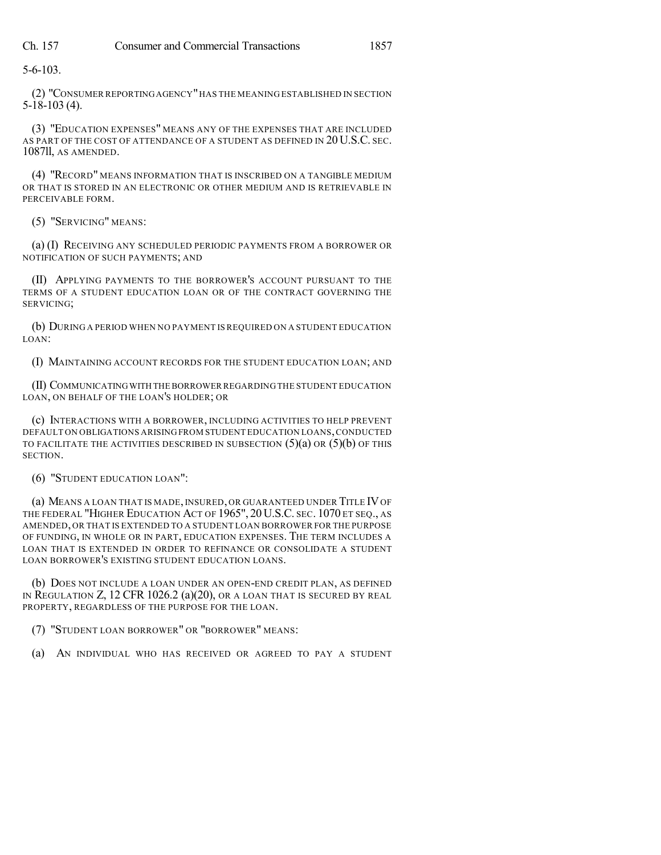5-6-103.

(2) "CONSUMER REPORTINGAGENCY"HAS THE MEANING ESTABLISHED IN SECTION 5-18-103 (4).

(3) "EDUCATION EXPENSES" MEANS ANY OF THE EXPENSES THAT ARE INCLUDED AS PART OF THE COST OF ATTENDANCE OF A STUDENT AS DEFINED IN 20 U.S.C. SEC. 1087ll, AS AMENDED.

(4) "RECORD" MEANS INFORMATION THAT IS INSCRIBED ON A TANGIBLE MEDIUM OR THAT IS STORED IN AN ELECTRONIC OR OTHER MEDIUM AND IS RETRIEVABLE IN PERCEIVABLE FORM.

(5) "SERVICING" MEANS:

(a) (I) RECEIVING ANY SCHEDULED PERIODIC PAYMENTS FROM A BORROWER OR NOTIFICATION OF SUCH PAYMENTS; AND

(II) APPLYING PAYMENTS TO THE BORROWER'S ACCOUNT PURSUANT TO THE TERMS OF A STUDENT EDUCATION LOAN OR OF THE CONTRACT GOVERNING THE SERVICING;

(b) DURING A PERIOD WHEN NO PAYMENT IS REQUIRED ON A STUDENT EDUCATION LOAN:

(I) MAINTAINING ACCOUNT RECORDS FOR THE STUDENT EDUCATION LOAN; AND

(II) COMMUNICATINGWITH THEBORROWER REGARDING THE STUDENT EDUCATION LOAN, ON BEHALF OF THE LOAN'S HOLDER; OR

(c) INTERACTIONS WITH A BORROWER, INCLUDING ACTIVITIES TO HELP PREVENT DEFAULT ON OBLIGATIONS ARISING FROM STUDENT EDUCATION LOANS,CONDUCTED TO FACILITATE THE ACTIVITIES DESCRIBED IN SUBSECTION  $(5)(a)$  OR  $(5)(b)$  OF THIS SECTION.

(6) "STUDENT EDUCATION LOAN":

(a) MEANS A LOAN THAT IS MADE, INSURED, OR GUARANTEED UNDER TITLE IVOF THE FEDERAL "HIGHER EDUCATION ACT OF 1965", 20 U.S.C. SEC. 1070 ET SEQ., AS AMENDED, OR THAT IS EXTENDED TO A STUDENT LOAN BORROWER FOR THE PURPOSE OF FUNDING, IN WHOLE OR IN PART, EDUCATION EXPENSES. THE TERM INCLUDES A LOAN THAT IS EXTENDED IN ORDER TO REFINANCE OR CONSOLIDATE A STUDENT LOAN BORROWER'S EXISTING STUDENT EDUCATION LOANS.

(b) DOES NOT INCLUDE A LOAN UNDER AN OPEN-END CREDIT PLAN, AS DEFINED IN REGULATION Z, 12 CFR 1026.2 (a)(20), OR A LOAN THAT IS SECURED BY REAL PROPERTY, REGARDLESS OF THE PURPOSE FOR THE LOAN.

(7) "STUDENT LOAN BORROWER" OR "BORROWER" MEANS:

(a) AN INDIVIDUAL WHO HAS RECEIVED OR AGREED TO PAY A STUDENT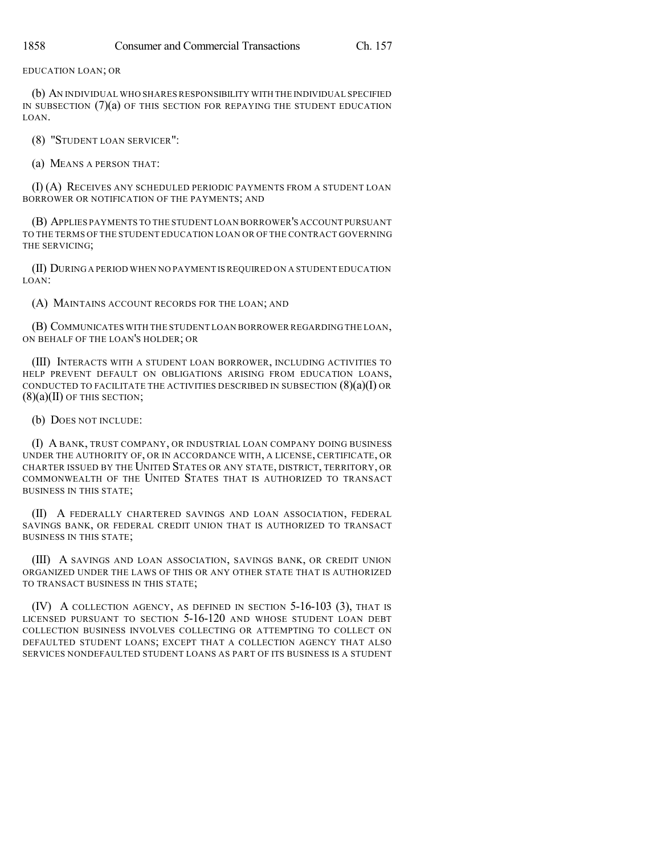EDUCATION LOAN; OR

(b) AN INDIVIDUAL WHO SHARES RESPONSIBILITY WITH THE INDIVIDUAL SPECIFIED IN SUBSECTION (7)(a) OF THIS SECTION FOR REPAYING THE STUDENT EDUCATION LOAN.

(8) "STUDENT LOAN SERVICER":

(a) MEANS A PERSON THAT:

(I) (A) RECEIVES ANY SCHEDULED PERIODIC PAYMENTS FROM A STUDENT LOAN BORROWER OR NOTIFICATION OF THE PAYMENTS; AND

(B) APPLIES PAYMENTS TO THE STUDENT LOAN BORROWER'S ACCOUNT PURSUANT TO THE TERMS OF THE STUDENT EDUCATION LOAN OR OF THE CONTRACT GOVERNING THE SERVICING;

(II) DURING A PERIOD WHEN NO PAYMENT IS REQUIRED ON A STUDENT EDUCATION LOAN:

(A) MAINTAINS ACCOUNT RECORDS FOR THE LOAN; AND

(B) COMMUNICATES WITH THE STUDENT LOAN BORROWER REGARDING THE LOAN, ON BEHALF OF THE LOAN'S HOLDER; OR

(III) INTERACTS WITH A STUDENT LOAN BORROWER, INCLUDING ACTIVITIES TO HELP PREVENT DEFAULT ON OBLIGATIONS ARISING FROM EDUCATION LOANS, CONDUCTED TO FACILITATE THE ACTIVITIES DESCRIBED IN SUBSECTION  $(8)(a)(I)$  OR  $(8)(a)(II)$  OF THIS SECTION;

(b) DOES NOT INCLUDE:

(I) A BANK, TRUST COMPANY, OR INDUSTRIAL LOAN COMPANY DOING BUSINESS UNDER THE AUTHORITY OF, OR IN ACCORDANCE WITH, A LICENSE, CERTIFICATE, OR CHARTER ISSUED BY THE UNITED STATES OR ANY STATE, DISTRICT, TERRITORY, OR COMMONWEALTH OF THE UNITED STATES THAT IS AUTHORIZED TO TRANSACT BUSINESS IN THIS STATE;

(II) A FEDERALLY CHARTERED SAVINGS AND LOAN ASSOCIATION, FEDERAL SAVINGS BANK, OR FEDERAL CREDIT UNION THAT IS AUTHORIZED TO TRANSACT BUSINESS IN THIS STATE;

(III) A SAVINGS AND LOAN ASSOCIATION, SAVINGS BANK, OR CREDIT UNION ORGANIZED UNDER THE LAWS OF THIS OR ANY OTHER STATE THAT IS AUTHORIZED TO TRANSACT BUSINESS IN THIS STATE;

(IV) A COLLECTION AGENCY, AS DEFINED IN SECTION 5-16-103 (3), THAT IS LICENSED PURSUANT TO SECTION 5-16-120 AND WHOSE STUDENT LOAN DEBT COLLECTION BUSINESS INVOLVES COLLECTING OR ATTEMPTING TO COLLECT ON DEFAULTED STUDENT LOANS; EXCEPT THAT A COLLECTION AGENCY THAT ALSO SERVICES NONDEFAULTED STUDENT LOANS AS PART OF ITS BUSINESS IS A STUDENT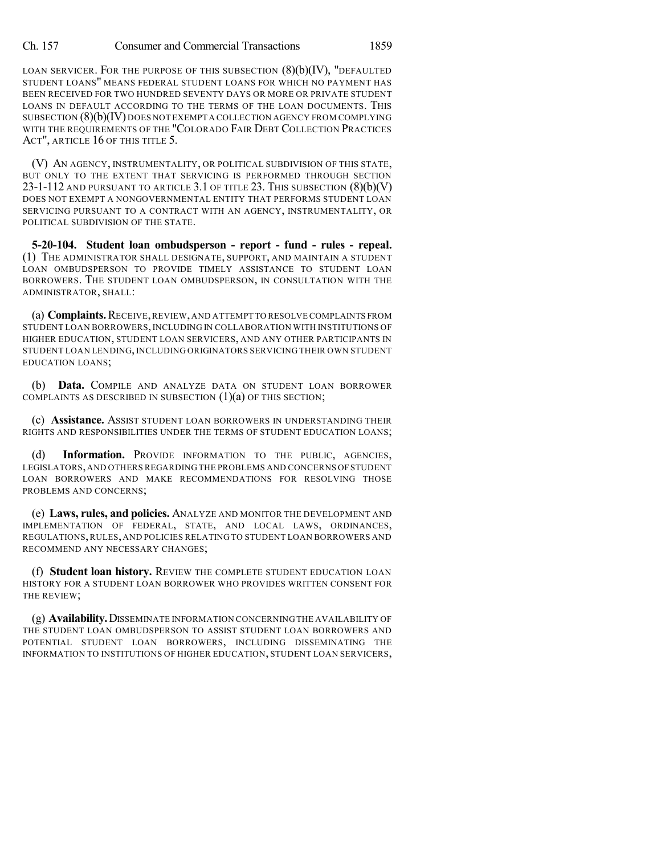LOAN SERVICER. FOR THE PURPOSE OF THIS SUBSECTION (8)(b)(IV), "DEFAULTED STUDENT LOANS" MEANS FEDERAL STUDENT LOANS FOR WHICH NO PAYMENT HAS BEEN RECEIVED FOR TWO HUNDRED SEVENTY DAYS OR MORE OR PRIVATE STUDENT LOANS IN DEFAULT ACCORDING TO THE TERMS OF THE LOAN DOCUMENTS. THIS SUBSECTION (8)(b)(IV) DOES NOT EXEMPT A COLLECTION AGENCY FROM COMPLYING WITH THE REQUIREMENTS OF THE "COLORADO FAIR DEBT COLLECTION PRACTICES ACT", ARTICLE 16 OF THIS TITLE 5.

(V) AN AGENCY, INSTRUMENTALITY, OR POLITICAL SUBDIVISION OF THIS STATE, BUT ONLY TO THE EXTENT THAT SERVICING IS PERFORMED THROUGH SECTION 23-1-112 AND PURSUANT TO ARTICLE 3.1 OF TITLE 23. THIS SUBSECTION (8)(b)(V) DOES NOT EXEMPT A NONGOVERNMENTAL ENTITY THAT PERFORMS STUDENT LOAN SERVICING PURSUANT TO A CONTRACT WITH AN AGENCY, INSTRUMENTALITY, OR POLITICAL SUBDIVISION OF THE STATE.

**5-20-104. Student loan ombudsperson - report - fund - rules - repeal.** (1) THE ADMINISTRATOR SHALL DESIGNATE, SUPPORT, AND MAINTAIN A STUDENT LOAN OMBUDSPERSON TO PROVIDE TIMELY ASSISTANCE TO STUDENT LOAN BORROWERS. THE STUDENT LOAN OMBUDSPERSON, IN CONSULTATION WITH THE ADMINISTRATOR, SHALL:

(a) **Complaints.**RECEIVE,REVIEW,AND ATTEMPT TO RESOLVE COMPLAINTS FROM STUDENT LOAN BORROWERS,INCLUDING IN COLLABORATION WITH INSTITUTIONS OF HIGHER EDUCATION, STUDENT LOAN SERVICERS, AND ANY OTHER PARTICIPANTS IN STUDENT LOAN LENDING, INCLUDING ORIGINATORS SERVICING THEIR OWN STUDENT EDUCATION LOANS;

(b) **Data.** COMPILE AND ANALYZE DATA ON STUDENT LOAN BORROWER COMPLAINTS AS DESCRIBED IN SUBSECTION  $(1)(a)$  OF THIS SECTION;

(c) **Assistance.** ASSIST STUDENT LOAN BORROWERS IN UNDERSTANDING THEIR RIGHTS AND RESPONSIBILITIES UNDER THE TERMS OF STUDENT EDUCATION LOANS;

(d) **Information.** PROVIDE INFORMATION TO THE PUBLIC, AGENCIES, LEGISLATORS,AND OTHERS REGARDING THE PROBLEMS AND CONCERNS OF STUDENT LOAN BORROWERS AND MAKE RECOMMENDATIONS FOR RESOLVING THOSE PROBLEMS AND CONCERNS;

(e) **Laws, rules, and policies.** ANALYZE AND MONITOR THE DEVELOPMENT AND IMPLEMENTATION OF FEDERAL, STATE, AND LOCAL LAWS, ORDINANCES, REGULATIONS,RULES, AND POLICIES RELATING TO STUDENT LOAN BORROWERS AND RECOMMEND ANY NECESSARY CHANGES;

(f) **Student loan history.** REVIEW THE COMPLETE STUDENT EDUCATION LOAN HISTORY FOR A STUDENT LOAN BORROWER WHO PROVIDES WRITTEN CONSENT FOR THE REVIEW;

(g) **Availability.**DISSEMINATE INFORMATION CONCERNING THE AVAILABILITY OF THE STUDENT LOAN OMBUDSPERSON TO ASSIST STUDENT LOAN BORROWERS AND POTENTIAL STUDENT LOAN BORROWERS, INCLUDING DISSEMINATING THE INFORMATION TO INSTITUTIONS OF HIGHER EDUCATION, STUDENT LOAN SERVICERS,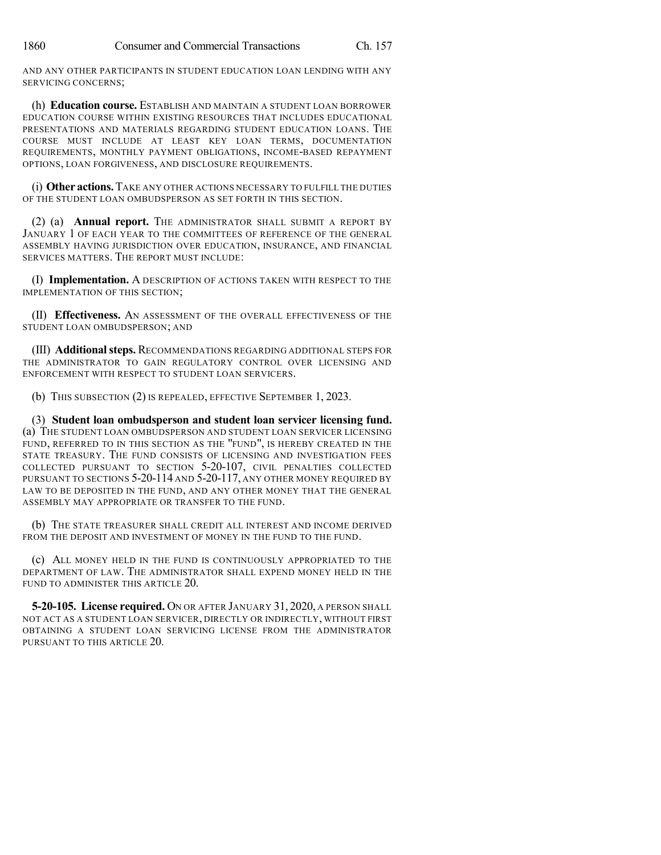AND ANY OTHER PARTICIPANTS IN STUDENT EDUCATION LOAN LENDING WITH ANY SERVICING CONCERNS;

(h) **Education course.** ESTABLISH AND MAINTAIN A STUDENT LOAN BORROWER EDUCATION COURSE WITHIN EXISTING RESOURCES THAT INCLUDES EDUCATIONAL PRESENTATIONS AND MATERIALS REGARDING STUDENT EDUCATION LOANS. THE COURSE MUST INCLUDE AT LEAST KEY LOAN TERMS, DOCUMENTATION REQUIREMENTS, MONTHLY PAYMENT OBLIGATIONS, INCOME-BASED REPAYMENT OPTIONS, LOAN FORGIVENESS, AND DISCLOSURE REQUIREMENTS.

(i) **Other actions.**TAKE ANY OTHER ACTIONS NECESSARY TO FULFILL THE DUTIES OF THE STUDENT LOAN OMBUDSPERSON AS SET FORTH IN THIS SECTION.

(2) (a) **Annual report.** THE ADMINISTRATOR SHALL SUBMIT A REPORT BY JANUARY 1 OF EACH YEAR TO THE COMMITTEES OF REFERENCE OF THE GENERAL ASSEMBLY HAVING JURISDICTION OVER EDUCATION, INSURANCE, AND FINANCIAL SERVICES MATTERS. THE REPORT MUST INCLUDE:

(I) **Implementation.** A DESCRIPTION OF ACTIONS TAKEN WITH RESPECT TO THE IMPLEMENTATION OF THIS SECTION;

(II) **Effectiveness.** AN ASSESSMENT OF THE OVERALL EFFECTIVENESS OF THE STUDENT LOAN OMBUDSPERSON; AND

(III) **Additionalsteps.** RECOMMENDATIONS REGARDING ADDITIONAL STEPS FOR THE ADMINISTRATOR TO GAIN REGULATORY CONTROL OVER LICENSING AND ENFORCEMENT WITH RESPECT TO STUDENT LOAN SERVICERS.

(b) THIS SUBSECTION (2) IS REPEALED, EFFECTIVE SEPTEMBER 1, 2023.

(3) **Student loan ombudsperson and student loan servicer licensing fund.** (a) THE STUDENT LOAN OMBUDSPERSON AND STUDENT LOAN SERVICER LICENSING FUND, REFERRED TO IN THIS SECTION AS THE "FUND", IS HEREBY CREATED IN THE STATE TREASURY. THE FUND CONSISTS OF LICENSING AND INVESTIGATION FEES COLLECTED PURSUANT TO SECTION 5-20-107, CIVIL PENALTIES COLLECTED PURSUANT TO SECTIONS 5-20-114 AND 5-20-117, ANY OTHER MONEY REQUIRED BY LAW TO BE DEPOSITED IN THE FUND, AND ANY OTHER MONEY THAT THE GENERAL ASSEMBLY MAY APPROPRIATE OR TRANSFER TO THE FUND.

(b) THE STATE TREASURER SHALL CREDIT ALL INTEREST AND INCOME DERIVED FROM THE DEPOSIT AND INVESTMENT OF MONEY IN THE FUND TO THE FUND.

(c) ALL MONEY HELD IN THE FUND IS CONTINUOUSLY APPROPRIATED TO THE DEPARTMENT OF LAW. THE ADMINISTRATOR SHALL EXPEND MONEY HELD IN THE FUND TO ADMINISTER THIS ARTICLE 20.

**5-20-105. License required.** ON OR AFTER JANUARY 31, 2020, A PERSON SHALL NOT ACT AS A STUDENT LOAN SERVICER, DIRECTLY OR INDIRECTLY, WITHOUT FIRST OBTAINING A STUDENT LOAN SERVICING LICENSE FROM THE ADMINISTRATOR PURSUANT TO THIS ARTICLE 20.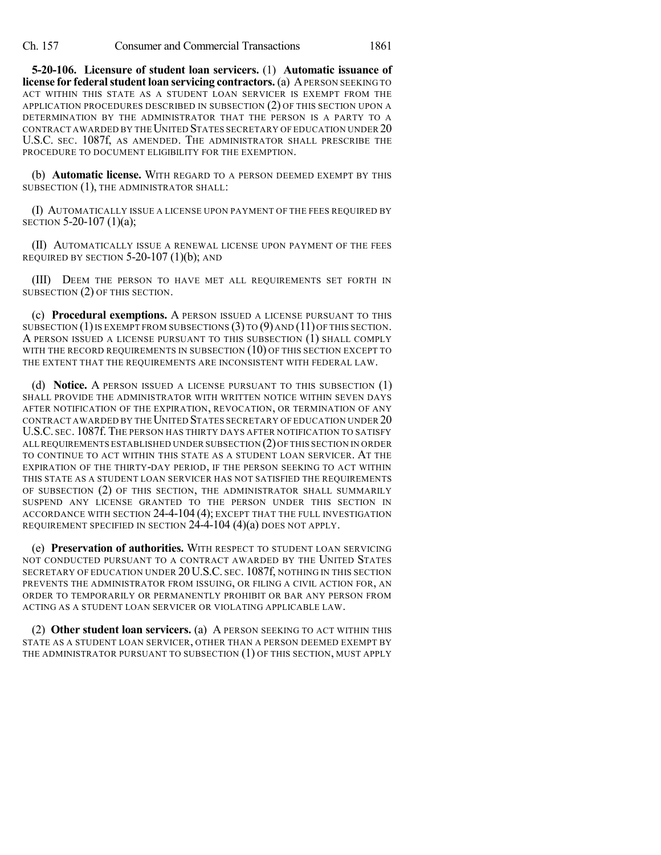Ch. 157 Consumer and Commercial Transactions 1861

**5-20-106. Licensure of student loan servicers.** (1) **Automatic issuance of license** for **federal student loan servicing contractors.** (a) APERSON SEEKING TO ACT WITHIN THIS STATE AS A STUDENT LOAN SERVICER IS EXEMPT FROM THE APPLICATION PROCEDURES DESCRIBED IN SUBSECTION (2) OF THIS SECTION UPON A DETERMINATION BY THE ADMINISTRATOR THAT THE PERSON IS A PARTY TO A CONTRACT AWARDED BY THE UNITED STATES SECRETARY OF EDUCATION UNDER 20 U.S.C. SEC. 1087f, AS AMENDED. THE ADMINISTRATOR SHALL PRESCRIBE THE PROCEDURE TO DOCUMENT ELIGIBILITY FOR THE EXEMPTION.

(b) **Automatic license.** WITH REGARD TO A PERSON DEEMED EXEMPT BY THIS SUBSECTION (1), THE ADMINISTRATOR SHALL:

(I) AUTOMATICALLY ISSUE A LICENSE UPON PAYMENT OF THE FEES REQUIRED BY SECTION 5-20-107 (1)(a);

(II) AUTOMATICALLY ISSUE A RENEWAL LICENSE UPON PAYMENT OF THE FEES REQUIRED BY SECTION 5-20-107 (1)(b); AND

(III) DEEM THE PERSON TO HAVE MET ALL REQUIREMENTS SET FORTH IN SUBSECTION (2) OF THIS SECTION.

(c) **Procedural exemptions.** A PERSON ISSUED A LICENSE PURSUANT TO THIS SUBSECTION  $(1)$  IS EXEMPT FROM SUBSECTIONS  $(3)$  TO  $(9)$  AND  $(11)$  OF THIS SECTION. A PERSON ISSUED A LICENSE PURSUANT TO THIS SUBSECTION (1) SHALL COMPLY WITH THE RECORD REQUIREMENTS IN SUBSECTION (10) OF THIS SECTION EXCEPT TO THE EXTENT THAT THE REQUIREMENTS ARE INCONSISTENT WITH FEDERAL LAW.

(d) **Notice.** A PERSON ISSUED A LICENSE PURSUANT TO THIS SUBSECTION (1) SHALL PROVIDE THE ADMINISTRATOR WITH WRITTEN NOTICE WITHIN SEVEN DAYS AFTER NOTIFICATION OF THE EXPIRATION, REVOCATION, OR TERMINATION OF ANY CONTRACT AWARDED BY THE UNITED STATES SECRETARY OF EDUCATION UNDER 20 U.S.C. SEC. 1087f. THE PERSON HAS THIRTY DAYS AFTER NOTIFICATION TO SATISFY ALL REQUIREMENTS ESTABLISHED UNDER SUBSECTION (2)OF THIS SECTION IN ORDER TO CONTINUE TO ACT WITHIN THIS STATE AS A STUDENT LOAN SERVICER. AT THE EXPIRATION OF THE THIRTY-DAY PERIOD, IF THE PERSON SEEKING TO ACT WITHIN THIS STATE AS A STUDENT LOAN SERVICER HAS NOT SATISFIED THE REQUIREMENTS OF SUBSECTION (2) OF THIS SECTION, THE ADMINISTRATOR SHALL SUMMARILY SUSPEND ANY LICENSE GRANTED TO THE PERSON UNDER THIS SECTION IN ACCORDANCE WITH SECTION 24-4-104 (4); EXCEPT THAT THE FULL INVESTIGATION REQUIREMENT SPECIFIED IN SECTION 24-4-104 (4)(a) DOES NOT APPLY.

(e) **Preservation of authorities.** WITH RESPECT TO STUDENT LOAN SERVICING NOT CONDUCTED PURSUANT TO A CONTRACT AWARDED BY THE UNITED STATES SECRETARY OF EDUCATION UNDER 20 U.S.C. SEC. 1087f, NOTHING IN THIS SECTION PREVENTS THE ADMINISTRATOR FROM ISSUING, OR FILING A CIVIL ACTION FOR, AN ORDER TO TEMPORARILY OR PERMANENTLY PROHIBIT OR BAR ANY PERSON FROM ACTING AS A STUDENT LOAN SERVICER OR VIOLATING APPLICABLE LAW.

(2) **Other student loan servicers.** (a) A PERSON SEEKING TO ACT WITHIN THIS STATE AS A STUDENT LOAN SERVICER, OTHER THAN A PERSON DEEMED EXEMPT BY THE ADMINISTRATOR PURSUANT TO SUBSECTION (1) OF THIS SECTION, MUST APPLY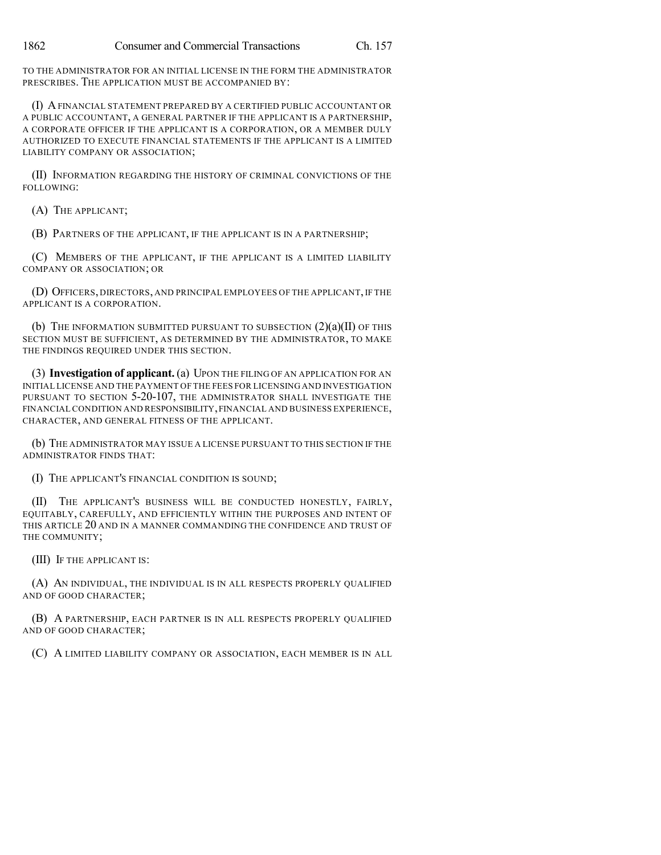TO THE ADMINISTRATOR FOR AN INITIAL LICENSE IN THE FORM THE ADMINISTRATOR PRESCRIBES. THE APPLICATION MUST BE ACCOMPANIED BY:

(I) AFINANCIAL STATEMENT PREPARED BY A CERTIFIED PUBLIC ACCOUNTANT OR A PUBLIC ACCOUNTANT, A GENERAL PARTNER IF THE APPLICANT IS A PARTNERSHIP, A CORPORATE OFFICER IF THE APPLICANT IS A CORPORATION, OR A MEMBER DULY AUTHORIZED TO EXECUTE FINANCIAL STATEMENTS IF THE APPLICANT IS A LIMITED LIABILITY COMPANY OR ASSOCIATION;

(II) INFORMATION REGARDING THE HISTORY OF CRIMINAL CONVICTIONS OF THE FOLLOWING:

(A) THE APPLICANT;

(B) PARTNERS OF THE APPLICANT, IF THE APPLICANT IS IN A PARTNERSHIP;

(C) MEMBERS OF THE APPLICANT, IF THE APPLICANT IS A LIMITED LIABILITY COMPANY OR ASSOCIATION; OR

(D) OFFICERS, DIRECTORS, AND PRINCIPAL EMPLOYEES OF THE APPLICANT, IF THE APPLICANT IS A CORPORATION.

(b) THE INFORMATION SUBMITTED PURSUANT TO SUBSECTION  $(2)(a)(II)$  OF THIS SECTION MUST BE SUFFICIENT, AS DETERMINED BY THE ADMINISTRATOR, TO MAKE THE FINDINGS REQUIRED UNDER THIS SECTION.

(3) **Investigation of applicant.** (a) UPON THE FILING OF AN APPLICATION FOR AN INITIAL LICENSE AND THE PAYMENT OF THE FEES FOR LICENSING AND INVESTIGATION PURSUANT TO SECTION 5-20-107, THE ADMINISTRATOR SHALL INVESTIGATE THE FINANCIALCONDITION AND RESPONSIBILITY,FINANCIAL AND BUSINESS EXPERIENCE, CHARACTER, AND GENERAL FITNESS OF THE APPLICANT.

(b) THE ADMINISTRATOR MAY ISSUE A LICENSE PURSUANT TO THIS SECTION IF THE ADMINISTRATOR FINDS THAT:

(I) THE APPLICANT'S FINANCIAL CONDITION IS SOUND;

(II) THE APPLICANT'S BUSINESS WILL BE CONDUCTED HONESTLY, FAIRLY, EQUITABLY, CAREFULLY, AND EFFICIENTLY WITHIN THE PURPOSES AND INTENT OF THIS ARTICLE 20 AND IN A MANNER COMMANDING THE CONFIDENCE AND TRUST OF THE COMMUNITY;

(III) IF THE APPLICANT IS:

(A) AN INDIVIDUAL, THE INDIVIDUAL IS IN ALL RESPECTS PROPERLY QUALIFIED AND OF GOOD CHARACTER;

(B) A PARTNERSHIP, EACH PARTNER IS IN ALL RESPECTS PROPERLY QUALIFIED AND OF GOOD CHARACTER;

(C) A LIMITED LIABILITY COMPANY OR ASSOCIATION, EACH MEMBER IS IN ALL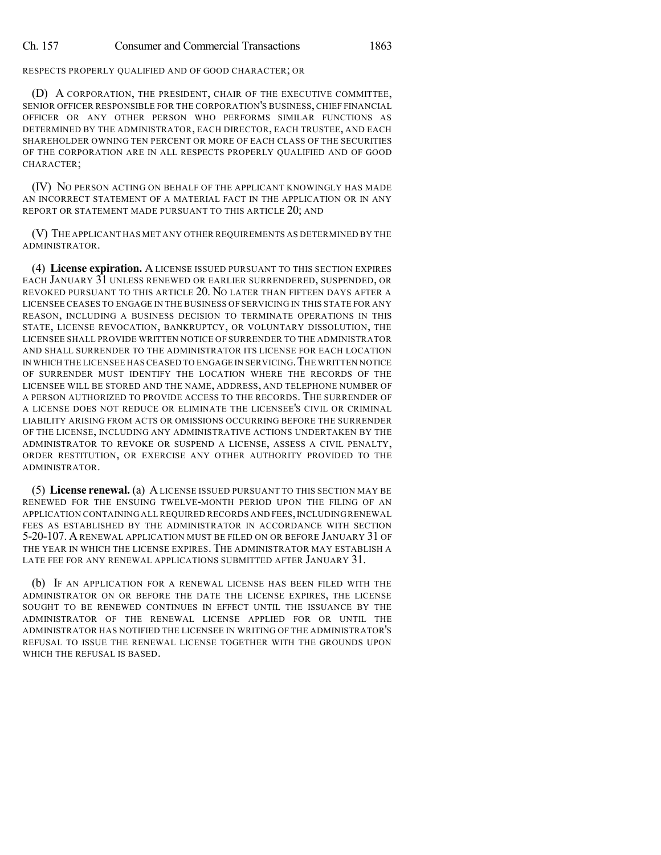RESPECTS PROPERLY QUALIFIED AND OF GOOD CHARACTER; OR

(D) A CORPORATION, THE PRESIDENT, CHAIR OF THE EXECUTIVE COMMITTEE, SENIOR OFFICER RESPONSIBLE FOR THE CORPORATION'S BUSINESS, CHIEF FINANCIAL OFFICER OR ANY OTHER PERSON WHO PERFORMS SIMILAR FUNCTIONS AS DETERMINED BY THE ADMINISTRATOR, EACH DIRECTOR, EACH TRUSTEE, AND EACH SHAREHOLDER OWNING TEN PERCENT OR MORE OF EACH CLASS OF THE SECURITIES OF THE CORPORATION ARE IN ALL RESPECTS PROPERLY QUALIFIED AND OF GOOD CHARACTER;

(IV) NO PERSON ACTING ON BEHALF OF THE APPLICANT KNOWINGLY HAS MADE AN INCORRECT STATEMENT OF A MATERIAL FACT IN THE APPLICATION OR IN ANY REPORT OR STATEMENT MADE PURSUANT TO THIS ARTICLE 20; AND

(V) THE APPLICANT HAS MET ANY OTHER REQUIREMENTS AS DETERMINED BY THE ADMINISTRATOR.

(4) **License expiration.** A LICENSE ISSUED PURSUANT TO THIS SECTION EXPIRES EACH JANUARY 31 UNLESS RENEWED OR EARLIER SURRENDERED, SUSPENDED, OR REVOKED PURSUANT TO THIS ARTICLE 20. NO LATER THAN FIFTEEN DAYS AFTER A LICENSEE CEASES TO ENGAGE IN THE BUSINESS OF SERVICING IN THIS STATE FOR ANY REASON, INCLUDING A BUSINESS DECISION TO TERMINATE OPERATIONS IN THIS STATE, LICENSE REVOCATION, BANKRUPTCY, OR VOLUNTARY DISSOLUTION, THE LICENSEE SHALL PROVIDE WRITTEN NOTICE OF SURRENDER TO THE ADMINISTRATOR AND SHALL SURRENDER TO THE ADMINISTRATOR ITS LICENSE FOR EACH LOCATION IN WHICH THE LICENSEE HAS CEASED TO ENGAGE IN SERVICING.THE WRITTEN NOTICE OF SURRENDER MUST IDENTIFY THE LOCATION WHERE THE RECORDS OF THE LICENSEE WILL BE STORED AND THE NAME, ADDRESS, AND TELEPHONE NUMBER OF A PERSON AUTHORIZED TO PROVIDE ACCESS TO THE RECORDS. THE SURRENDER OF A LICENSE DOES NOT REDUCE OR ELIMINATE THE LICENSEE'S CIVIL OR CRIMINAL LIABILITY ARISING FROM ACTS OR OMISSIONS OCCURRING BEFORE THE SURRENDER OF THE LICENSE, INCLUDING ANY ADMINISTRATIVE ACTIONS UNDERTAKEN BY THE ADMINISTRATOR TO REVOKE OR SUSPEND A LICENSE, ASSESS A CIVIL PENALTY, ORDER RESTITUTION, OR EXERCISE ANY OTHER AUTHORITY PROVIDED TO THE ADMINISTRATOR.

(5) **License renewal.** (a) ALICENSE ISSUED PURSUANT TO THIS SECTION MAY BE RENEWED FOR THE ENSUING TWELVE-MONTH PERIOD UPON THE FILING OF AN APPLICATION CONTAINING ALL REQUIRED RECORDS AND FEES, INCLUDING RENEWAL FEES AS ESTABLISHED BY THE ADMINISTRATOR IN ACCORDANCE WITH SECTION 5-20-107. A RENEWAL APPLICATION MUST BE FILED ON OR BEFORE JANUARY 31 OF THE YEAR IN WHICH THE LICENSE EXPIRES. THE ADMINISTRATOR MAY ESTABLISH A LATE FEE FOR ANY RENEWAL APPLICATIONS SUBMITTED AFTER JANUARY 31.

(b) IF AN APPLICATION FOR A RENEWAL LICENSE HAS BEEN FILED WITH THE ADMINISTRATOR ON OR BEFORE THE DATE THE LICENSE EXPIRES, THE LICENSE SOUGHT TO BE RENEWED CONTINUES IN EFFECT UNTIL THE ISSUANCE BY THE ADMINISTRATOR OF THE RENEWAL LICENSE APPLIED FOR OR UNTIL THE ADMINISTRATOR HAS NOTIFIED THE LICENSEE IN WRITING OF THE ADMINISTRATOR'S REFUSAL TO ISSUE THE RENEWAL LICENSE TOGETHER WITH THE GROUNDS UPON WHICH THE REFUSAL IS BASED.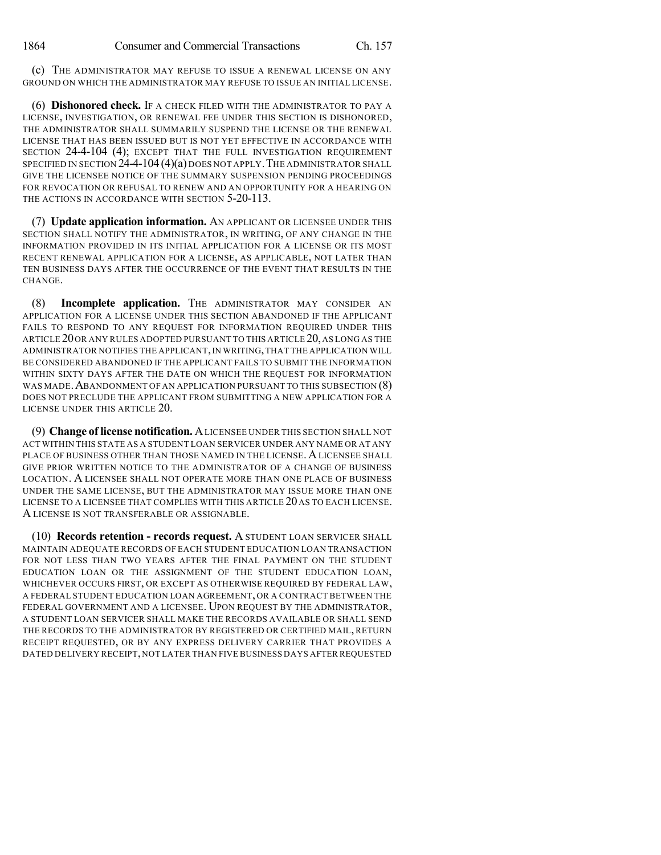(c) THE ADMINISTRATOR MAY REFUSE TO ISSUE A RENEWAL LICENSE ON ANY GROUND ON WHICH THE ADMINISTRATOR MAY REFUSE TO ISSUE AN INITIAL LICENSE.

(6) **Dishonored check.** IF A CHECK FILED WITH THE ADMINISTRATOR TO PAY A LICENSE, INVESTIGATION, OR RENEWAL FEE UNDER THIS SECTION IS DISHONORED, THE ADMINISTRATOR SHALL SUMMARILY SUSPEND THE LICENSE OR THE RENEWAL LICENSE THAT HAS BEEN ISSUED BUT IS NOT YET EFFECTIVE IN ACCORDANCE WITH SECTION 24-4-104 (4); EXCEPT THAT THE FULL INVESTIGATION REQUIREMENT SPECIFIED IN SECTION  $24-104(4)(a)$  does not apply. The administrator shall GIVE THE LICENSEE NOTICE OF THE SUMMARY SUSPENSION PENDING PROCEEDINGS FOR REVOCATION OR REFUSAL TO RENEW AND AN OPPORTUNITY FOR A HEARING ON THE ACTIONS IN ACCORDANCE WITH SECTION 5-20-113.

(7) **Update application information.** AN APPLICANT OR LICENSEE UNDER THIS SECTION SHALL NOTIFY THE ADMINISTRATOR, IN WRITING, OF ANY CHANGE IN THE INFORMATION PROVIDED IN ITS INITIAL APPLICATION FOR A LICENSE OR ITS MOST RECENT RENEWAL APPLICATION FOR A LICENSE, AS APPLICABLE, NOT LATER THAN TEN BUSINESS DAYS AFTER THE OCCURRENCE OF THE EVENT THAT RESULTS IN THE CHANGE.

(8) **Incomplete application.** THE ADMINISTRATOR MAY CONSIDER AN APPLICATION FOR A LICENSE UNDER THIS SECTION ABANDONED IF THE APPLICANT FAILS TO RESPOND TO ANY REQUEST FOR INFORMATION REQUIRED UNDER THIS ARTICLE 20OR ANY RULES ADOPTED PURSUANT TO THIS ARTICLE 20,AS LONG AS THE ADMINISTRATOR NOTIFIES THE APPLICANT,IN WRITING,THAT THE APPLICATION WILL BE CONSIDERED ABANDONED IF THE APPLICANT FAILS TO SUBMIT THE INFORMATION WITHIN SIXTY DAYS AFTER THE DATE ON WHICH THE REQUEST FOR INFORMATION WAS MADE. ABANDONMENT OF AN APPLICATION PURSUANT TO THIS SUBSECTION (8) DOES NOT PRECLUDE THE APPLICANT FROM SUBMITTING A NEW APPLICATION FOR A LICENSE UNDER THIS ARTICLE 20.

(9) **Change of license notification.** ALICENSEE UNDER THIS SECTION SHALL NOT ACT WITHIN THIS STATE AS A STUDENT LOAN SERVICER UNDER ANY NAME OR AT ANY PLACE OF BUSINESS OTHER THAN THOSE NAMED IN THE LICENSE. A LICENSEE SHALL GIVE PRIOR WRITTEN NOTICE TO THE ADMINISTRATOR OF A CHANGE OF BUSINESS LOCATION. A LICENSEE SHALL NOT OPERATE MORE THAN ONE PLACE OF BUSINESS UNDER THE SAME LICENSE, BUT THE ADMINISTRATOR MAY ISSUE MORE THAN ONE LICENSE TO A LICENSEE THAT COMPLIES WITH THIS ARTICLE 20 AS TO EACH LICENSE. A LICENSE IS NOT TRANSFERABLE OR ASSIGNABLE.

(10) **Records retention - records request.** A STUDENT LOAN SERVICER SHALL MAINTAIN ADEQUATE RECORDS OF EACH STUDENT EDUCATION LOAN TRANSACTION FOR NOT LESS THAN TWO YEARS AFTER THE FINAL PAYMENT ON THE STUDENT EDUCATION LOAN OR THE ASSIGNMENT OF THE STUDENT EDUCATION LOAN, WHICHEVER OCCURS FIRST, OR EXCEPT AS OTHERWISE REQUIRED BY FEDERAL LAW, A FEDERAL STUDENT EDUCATION LOAN AGREEMENT, OR A CONTRACT BETWEEN THE FEDERAL GOVERNMENT AND A LICENSEE. UPON REQUEST BY THE ADMINISTRATOR, A STUDENT LOAN SERVICER SHALL MAKE THE RECORDS AVAILABLE OR SHALL SEND THE RECORDS TO THE ADMINISTRATOR BY REGISTERED OR CERTIFIED MAIL, RETURN RECEIPT REQUESTED, OR BY ANY EXPRESS DELIVERY CARRIER THAT PROVIDES A DATED DELIVERY RECEIPT,NOT LATER THAN FIVE BUSINESS DAYS AFTER REQUESTED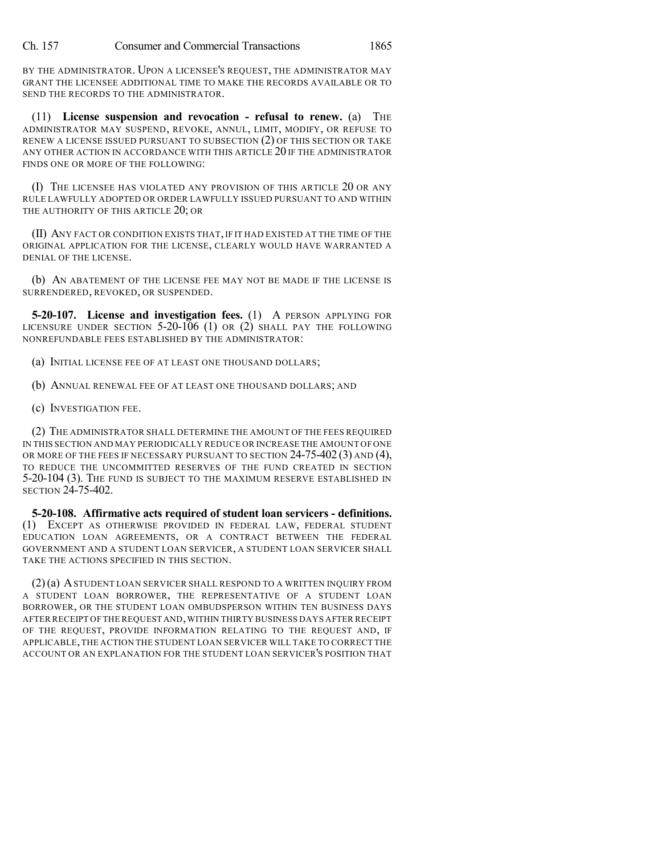BY THE ADMINISTRATOR. UPON A LICENSEE'S REQUEST, THE ADMINISTRATOR MAY GRANT THE LICENSEE ADDITIONAL TIME TO MAKE THE RECORDS AVAILABLE OR TO SEND THE RECORDS TO THE ADMINISTRATOR.

(11) **License suspension and revocation - refusal to renew.** (a) THE ADMINISTRATOR MAY SUSPEND, REVOKE, ANNUL, LIMIT, MODIFY, OR REFUSE TO RENEW A LICENSE ISSUED PURSUANT TO SUBSECTION (2) OF THIS SECTION OR TAKE ANY OTHER ACTION IN ACCORDANCE WITH THIS ARTICLE 20 IF THE ADMINISTRATOR FINDS ONE OR MORE OF THE FOLLOWING:

(I) THE LICENSEE HAS VIOLATED ANY PROVISION OF THIS ARTICLE 20 OR ANY RULE LAWFULLY ADOPTED OR ORDER LAWFULLY ISSUED PURSUANT TO AND WITHIN THE AUTHORITY OF THIS ARTICLE 20; OR

(II) ANY FACT OR CONDITION EXISTS THAT, IF IT HAD EXISTED AT THE TIME OF THE ORIGINAL APPLICATION FOR THE LICENSE, CLEARLY WOULD HAVE WARRANTED A DENIAL OF THE LICENSE.

(b) AN ABATEMENT OF THE LICENSE FEE MAY NOT BE MADE IF THE LICENSE IS SURRENDERED, REVOKED, OR SUSPENDED.

**5-20-107. License and investigation fees.** (1) A PERSON APPLYING FOR LICENSURE UNDER SECTION  $5-20-106$  (1) OR (2) SHALL PAY THE FOLLOWING NONREFUNDABLE FEES ESTABLISHED BY THE ADMINISTRATOR:

(a) INITIAL LICENSE FEE OF AT LEAST ONE THOUSAND DOLLARS;

(b) ANNUAL RENEWAL FEE OF AT LEAST ONE THOUSAND DOLLARS; AND

(c) INVESTIGATION FEE.

(2) THE ADMINISTRATOR SHALL DETERMINE THE AMOUNT OF THE FEES REQUIRED IN THIS SECTION AND MAY PERIODICALLY REDUCE OR INCREASE THE AMOUNT OFONE OR MORE OF THE FEES IF NECESSARY PURSUANT TO SECTION 24-75-402 (3) AND (4), TO REDUCE THE UNCOMMITTED RESERVES OF THE FUND CREATED IN SECTION 5-20-104 (3). THE FUND IS SUBJECT TO THE MAXIMUM RESERVE ESTABLISHED IN SECTION 24-75-402.

**5-20-108. Affirmative acts required of student loan servicers - definitions.** (1) EXCEPT AS OTHERWISE PROVIDED IN FEDERAL LAW, FEDERAL STUDENT EDUCATION LOAN AGREEMENTS, OR A CONTRACT BETWEEN THE FEDERAL GOVERNMENT AND A STUDENT LOAN SERVICER, A STUDENT LOAN SERVICER SHALL TAKE THE ACTIONS SPECIFIED IN THIS SECTION.

(2)(a) ASTUDENT LOAN SERVICER SHALL RESPOND TO A WRITTEN INQUIRY FROM A STUDENT LOAN BORROWER, THE REPRESENTATIVE OF A STUDENT LOAN BORROWER, OR THE STUDENT LOAN OMBUDSPERSON WITHIN TEN BUSINESS DAYS AFTER RECEIPT OFTHE REQUEST AND,WITHIN THIRTY BUSINESS DAYS AFTER RECEIPT OF THE REQUEST, PROVIDE INFORMATION RELATING TO THE REQUEST AND, IF APPLICABLE,THE ACTION THE STUDENT LOAN SERVICER WILL TAKE TO CORRECT THE ACCOUNT OR AN EXPLANATION FOR THE STUDENT LOAN SERVICER'S POSITION THAT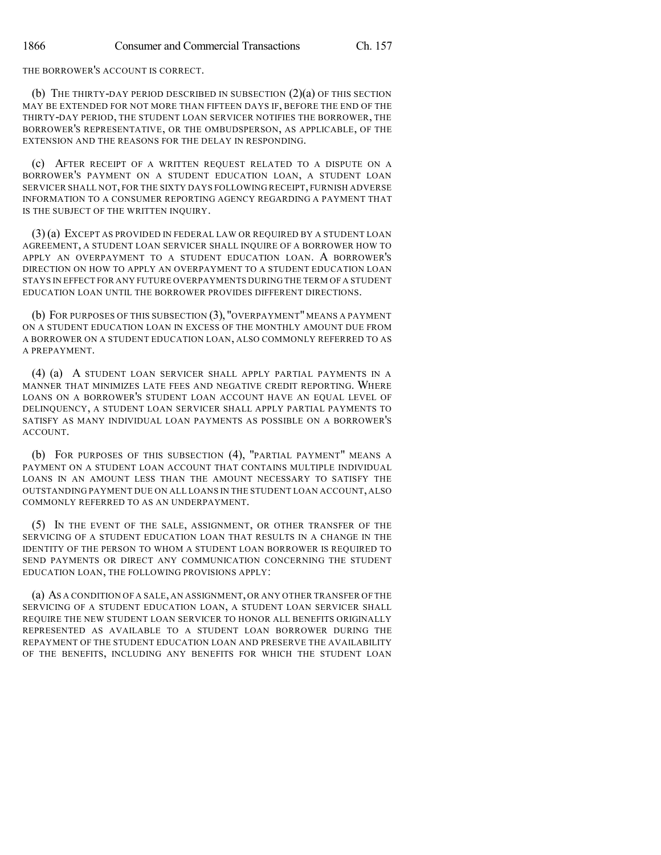THE BORROWER'S ACCOUNT IS CORRECT.

(b) THE THIRTY-DAY PERIOD DESCRIBED IN SUBSECTION (2)(a) OF THIS SECTION MAY BE EXTENDED FOR NOT MORE THAN FIFTEEN DAYS IF, BEFORE THE END OF THE THIRTY-DAY PERIOD, THE STUDENT LOAN SERVICER NOTIFIES THE BORROWER, THE BORROWER'S REPRESENTATIVE, OR THE OMBUDSPERSON, AS APPLICABLE, OF THE EXTENSION AND THE REASONS FOR THE DELAY IN RESPONDING.

(c) AFTER RECEIPT OF A WRITTEN REQUEST RELATED TO A DISPUTE ON A BORROWER'S PAYMENT ON A STUDENT EDUCATION LOAN, A STUDENT LOAN SERVICER SHALL NOT, FOR THE SIXTY DAYS FOLLOWING RECEIPT, FURNISH ADVERSE INFORMATION TO A CONSUMER REPORTING AGENCY REGARDING A PAYMENT THAT IS THE SUBJECT OF THE WRITTEN INQUIRY.

(3) (a) EXCEPT AS PROVIDED IN FEDERAL LAW OR REQUIRED BY A STUDENT LOAN AGREEMENT, A STUDENT LOAN SERVICER SHALL INQUIRE OF A BORROWER HOW TO APPLY AN OVERPAYMENT TO A STUDENT EDUCATION LOAN. A BORROWER'S DIRECTION ON HOW TO APPLY AN OVERPAYMENT TO A STUDENT EDUCATION LOAN STAYS IN EFFECT FOR ANY FUTURE OVERPAYMENTS DURING THE TERM OF A STUDENT EDUCATION LOAN UNTIL THE BORROWER PROVIDES DIFFERENT DIRECTIONS.

(b) FOR PURPOSES OF THIS SUBSECTION (3), "OVERPAYMENT" MEANS A PAYMENT ON A STUDENT EDUCATION LOAN IN EXCESS OF THE MONTHLY AMOUNT DUE FROM A BORROWER ON A STUDENT EDUCATION LOAN, ALSO COMMONLY REFERRED TO AS A PREPAYMENT.

(4) (a) A STUDENT LOAN SERVICER SHALL APPLY PARTIAL PAYMENTS IN A MANNER THAT MINIMIZES LATE FEES AND NEGATIVE CREDIT REPORTING. WHERE LOANS ON A BORROWER'S STUDENT LOAN ACCOUNT HAVE AN EQUAL LEVEL OF DELINQUENCY, A STUDENT LOAN SERVICER SHALL APPLY PARTIAL PAYMENTS TO SATISFY AS MANY INDIVIDUAL LOAN PAYMENTS AS POSSIBLE ON A BORROWER'S ACCOUNT.

(b) FOR PURPOSES OF THIS SUBSECTION (4), "PARTIAL PAYMENT" MEANS A PAYMENT ON A STUDENT LOAN ACCOUNT THAT CONTAINS MULTIPLE INDIVIDUAL LOANS IN AN AMOUNT LESS THAN THE AMOUNT NECESSARY TO SATISFY THE OUTSTANDING PAYMENT DUE ON ALL LOANS IN THE STUDENT LOAN ACCOUNT, ALSO COMMONLY REFERRED TO AS AN UNDERPAYMENT.

(5) IN THE EVENT OF THE SALE, ASSIGNMENT, OR OTHER TRANSFER OF THE SERVICING OF A STUDENT EDUCATION LOAN THAT RESULTS IN A CHANGE IN THE IDENTITY OF THE PERSON TO WHOM A STUDENT LOAN BORROWER IS REQUIRED TO SEND PAYMENTS OR DIRECT ANY COMMUNICATION CONCERNING THE STUDENT EDUCATION LOAN, THE FOLLOWING PROVISIONS APPLY:

(a) AS A CONDITION OF A SALE, AN ASSIGNMENT, OR ANY OTHER TRANSFER OF THE SERVICING OF A STUDENT EDUCATION LOAN, A STUDENT LOAN SERVICER SHALL REQUIRE THE NEW STUDENT LOAN SERVICER TO HONOR ALL BENEFITS ORIGINALLY REPRESENTED AS AVAILABLE TO A STUDENT LOAN BORROWER DURING THE REPAYMENT OF THE STUDENT EDUCATION LOAN AND PRESERVE THE AVAILABILITY OF THE BENEFITS, INCLUDING ANY BENEFITS FOR WHICH THE STUDENT LOAN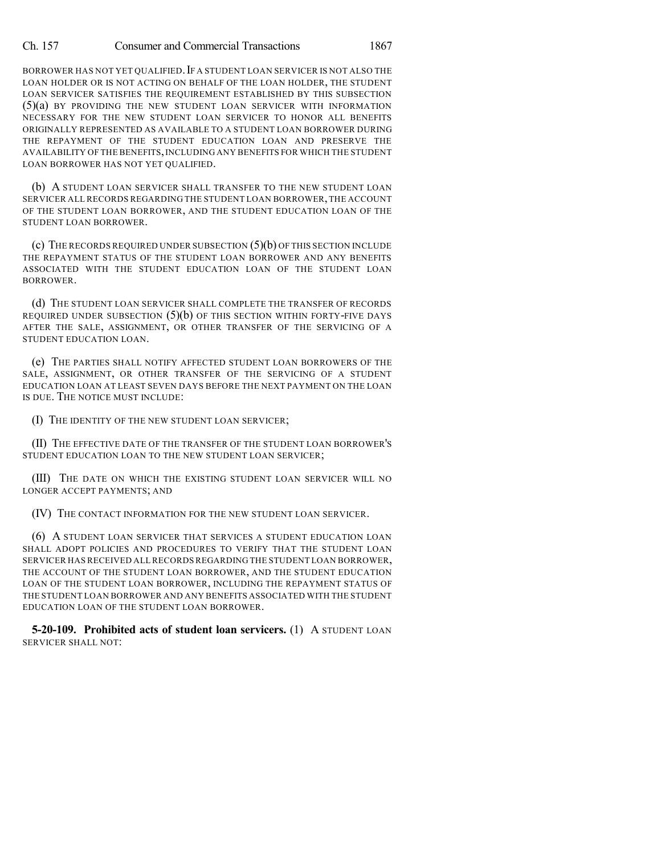## Ch. 157 Consumer and Commercial Transactions 1867

BORROWER HAS NOT YET QUALIFIED. IF A STUDENT LOAN SERVICER IS NOT ALSO THE LOAN HOLDER OR IS NOT ACTING ON BEHALF OF THE LOAN HOLDER, THE STUDENT LOAN SERVICER SATISFIES THE REQUIREMENT ESTABLISHED BY THIS SUBSECTION (5)(a) BY PROVIDING THE NEW STUDENT LOAN SERVICER WITH INFORMATION NECESSARY FOR THE NEW STUDENT LOAN SERVICER TO HONOR ALL BENEFITS ORIGINALLY REPRESENTED AS AVAILABLE TO A STUDENT LOAN BORROWER DURING THE REPAYMENT OF THE STUDENT EDUCATION LOAN AND PRESERVE THE AVAILABILITY OF THE BENEFITS,INCLUDING ANY BENEFITS FOR WHICH THE STUDENT LOAN BORROWER HAS NOT YET QUALIFIED.

(b) A STUDENT LOAN SERVICER SHALL TRANSFER TO THE NEW STUDENT LOAN SERVICER ALL RECORDS REGARDING THE STUDENT LOAN BORROWER,THE ACCOUNT OF THE STUDENT LOAN BORROWER, AND THE STUDENT EDUCATION LOAN OF THE STUDENT LOAN BORROWER.

(c) THE RECORDS REQUIRED UNDER SUBSECTION (5)(b) OF THIS SECTION INCLUDE THE REPAYMENT STATUS OF THE STUDENT LOAN BORROWER AND ANY BENEFITS ASSOCIATED WITH THE STUDENT EDUCATION LOAN OF THE STUDENT LOAN BORROWER.

(d) THE STUDENT LOAN SERVICER SHALL COMPLETE THE TRANSFER OF RECORDS REQUIRED UNDER SUBSECTION  $(5)(b)$  OF THIS SECTION WITHIN FORTY-FIVE DAYS AFTER THE SALE, ASSIGNMENT, OR OTHER TRANSFER OF THE SERVICING OF A STUDENT EDUCATION LOAN.

(e) THE PARTIES SHALL NOTIFY AFFECTED STUDENT LOAN BORROWERS OF THE SALE, ASSIGNMENT, OR OTHER TRANSFER OF THE SERVICING OF A STUDENT EDUCATION LOAN AT LEAST SEVEN DAYS BEFORE THE NEXT PAYMENT ON THE LOAN IS DUE. THE NOTICE MUST INCLUDE:

(I) THE IDENTITY OF THE NEW STUDENT LOAN SERVICER;

(II) THE EFFECTIVE DATE OF THE TRANSFER OF THE STUDENT LOAN BORROWER'S STUDENT EDUCATION LOAN TO THE NEW STUDENT LOAN SERVICER;

(III) THE DATE ON WHICH THE EXISTING STUDENT LOAN SERVICER WILL NO LONGER ACCEPT PAYMENTS; AND

(IV) THE CONTACT INFORMATION FOR THE NEW STUDENT LOAN SERVICER.

(6) A STUDENT LOAN SERVICER THAT SERVICES A STUDENT EDUCATION LOAN SHALL ADOPT POLICIES AND PROCEDURES TO VERIFY THAT THE STUDENT LOAN SERVICER HAS RECEIVED ALL RECORDS REGARDING THE STUDENT LOAN BORROWER, THE ACCOUNT OF THE STUDENT LOAN BORROWER, AND THE STUDENT EDUCATION LOAN OF THE STUDENT LOAN BORROWER, INCLUDING THE REPAYMENT STATUS OF THE STUDENT LOAN BORROWER AND ANY BENEFITS ASSOCIATED WITH THE STUDENT EDUCATION LOAN OF THE STUDENT LOAN BORROWER.

**5-20-109. Prohibited acts of student loan servicers.** (1) A STUDENT LOAN SERVICER SHALL NOT: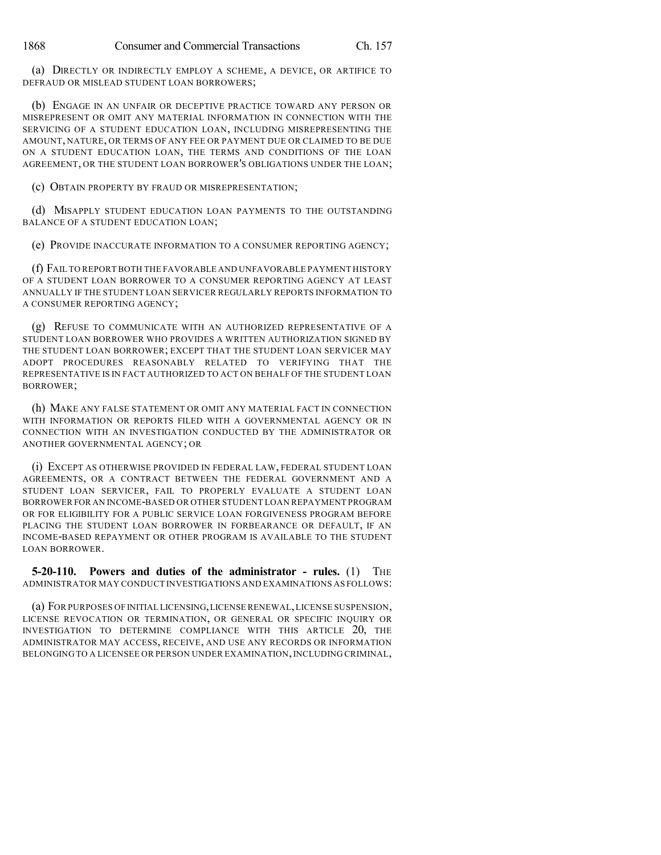(a) DIRECTLY OR INDIRECTLY EMPLOY A SCHEME, A DEVICE, OR ARTIFICE TO DEFRAUD OR MISLEAD STUDENT LOAN BORROWERS;

(b) ENGAGE IN AN UNFAIR OR DECEPTIVE PRACTICE TOWARD ANY PERSON OR MISREPRESENT OR OMIT ANY MATERIAL INFORMATION IN CONNECTION WITH THE SERVICING OF A STUDENT EDUCATION LOAN, INCLUDING MISREPRESENTING THE AMOUNT, NATURE, OR TERMS OF ANY FEE OR PAYMENT DUE OR CLAIMED TO BE DUE ON A STUDENT EDUCATION LOAN, THE TERMS AND CONDITIONS OF THE LOAN AGREEMENT, OR THE STUDENT LOAN BORROWER'S OBLIGATIONS UNDER THE LOAN;

(c) OBTAIN PROPERTY BY FRAUD OR MISREPRESENTATION;

(d) MISAPPLY STUDENT EDUCATION LOAN PAYMENTS TO THE OUTSTANDING BALANCE OF A STUDENT EDUCATION LOAN;

(e) PROVIDE INACCURATE INFORMATION TO A CONSUMER REPORTING AGENCY;

(f) FAIL TO REPORTBOTH THE FAVORABLE AND UNFAVORABLE PAYMENT HISTORY OF A STUDENT LOAN BORROWER TO A CONSUMER REPORTING AGENCY AT LEAST ANNUALLY IF THE STUDENT LOAN SERVICER REGULARLY REPORTS INFORMATION TO A CONSUMER REPORTING AGENCY;

(g) REFUSE TO COMMUNICATE WITH AN AUTHORIZED REPRESENTATIVE OF A STUDENT LOAN BORROWER WHO PROVIDES A WRITTEN AUTHORIZATION SIGNED BY THE STUDENT LOAN BORROWER; EXCEPT THAT THE STUDENT LOAN SERVICER MAY ADOPT PROCEDURES REASONABLY RELATED TO VERIFYING THAT THE REPRESENTATIVE IS IN FACT AUTHORIZED TO ACT ON BEHALF OF THE STUDENT LOAN BORROWER;

(h) MAKE ANY FALSE STATEMENT OR OMIT ANY MATERIAL FACT IN CONNECTION WITH INFORMATION OR REPORTS FILED WITH A GOVERNMENTAL AGENCY OR IN CONNECTION WITH AN INVESTIGATION CONDUCTED BY THE ADMINISTRATOR OR ANOTHER GOVERNMENTAL AGENCY; OR

(i) EXCEPT AS OTHERWISE PROVIDED IN FEDERAL LAW, FEDERAL STUDENT LOAN AGREEMENTS, OR A CONTRACT BETWEEN THE FEDERAL GOVERNMENT AND A STUDENT LOAN SERVICER, FAIL TO PROPERLY EVALUATE A STUDENT LOAN BORROWER FOR AN INCOME-BASED OR OTHER STUDENT LOAN REPAYMENT PROGRAM OR FOR ELIGIBILITY FOR A PUBLIC SERVICE LOAN FORGIVENESS PROGRAM BEFORE PLACING THE STUDENT LOAN BORROWER IN FORBEARANCE OR DEFAULT, IF AN INCOME-BASED REPAYMENT OR OTHER PROGRAM IS AVAILABLE TO THE STUDENT LOAN BORROWER.

**5-20-110. Powers and duties of the administrator - rules.** (1) THE ADMINISTRATOR MAY CONDUCT INVESTIGATIONS AND EXAMINATIONS AS FOLLOWS:

(a) FOR PURPOSES OF INITIAL LICENSING,LICENSE RENEWAL,LICENSE SUSPENSION, LICENSE REVOCATION OR TERMINATION, OR GENERAL OR SPECIFIC INQUIRY OR INVESTIGATION TO DETERMINE COMPLIANCE WITH THIS ARTICLE 20, THE ADMINISTRATOR MAY ACCESS, RECEIVE, AND USE ANY RECORDS OR INFORMATION BELONGING TO A LICENSEE OR PERSON UNDER EXAMINATION, INCLUDING CRIMINAL,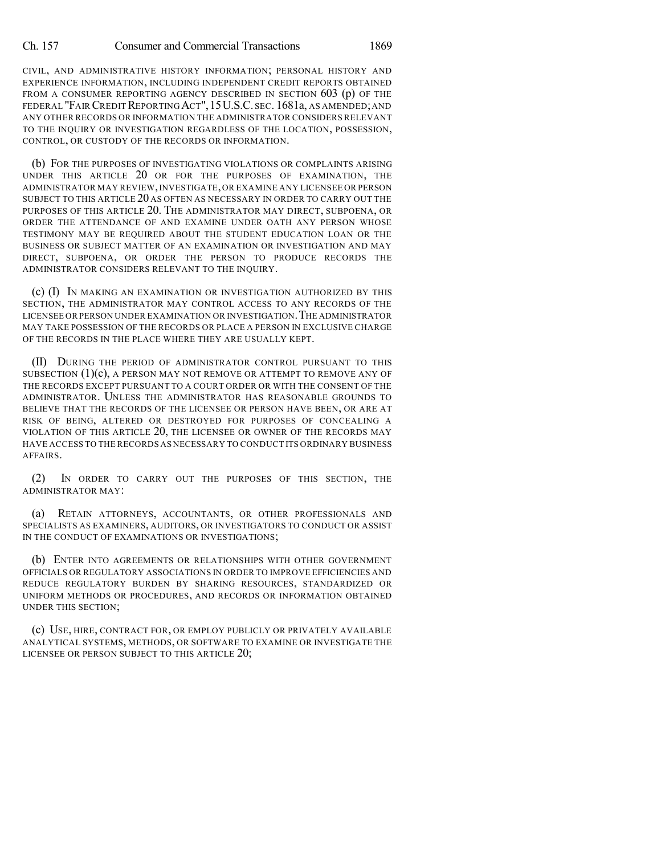CIVIL, AND ADMINISTRATIVE HISTORY INFORMATION; PERSONAL HISTORY AND EXPERIENCE INFORMATION, INCLUDING INDEPENDENT CREDIT REPORTS OBTAINED FROM A CONSUMER REPORTING AGENCY DESCRIBED IN SECTION 603 (p) OF THE FEDERAL "FAIR CREDIT REPORTING ACT", 15 U.S.C. SEC. 1681a, AS AMENDED; AND ANY OTHER RECORDS OR INFORMATION THE ADMINISTRATOR CONSIDERS RELEVANT TO THE INQUIRY OR INVESTIGATION REGARDLESS OF THE LOCATION, POSSESSION, CONTROL, OR CUSTODY OF THE RECORDS OR INFORMATION.

(b) FOR THE PURPOSES OF INVESTIGATING VIOLATIONS OR COMPLAINTS ARISING UNDER THIS ARTICLE 20 OR FOR THE PURPOSES OF EXAMINATION, THE ADMINISTRATOR MAY REVIEW,INVESTIGATE,OR EXAMINE ANY LICENSEE OR PERSON SUBJECT TO THIS ARTICLE 20 AS OFTEN AS NECESSARY IN ORDER TO CARRY OUT THE PURPOSES OF THIS ARTICLE 20. THE ADMINISTRATOR MAY DIRECT, SUBPOENA, OR ORDER THE ATTENDANCE OF AND EXAMINE UNDER OATH ANY PERSON WHOSE TESTIMONY MAY BE REQUIRED ABOUT THE STUDENT EDUCATION LOAN OR THE BUSINESS OR SUBJECT MATTER OF AN EXAMINATION OR INVESTIGATION AND MAY DIRECT, SUBPOENA, OR ORDER THE PERSON TO PRODUCE RECORDS THE ADMINISTRATOR CONSIDERS RELEVANT TO THE INQUIRY.

(c) (I) IN MAKING AN EXAMINATION OR INVESTIGATION AUTHORIZED BY THIS SECTION, THE ADMINISTRATOR MAY CONTROL ACCESS TO ANY RECORDS OF THE LICENSEE OR PERSON UNDER EXAMINATION OR INVESTIGATION.THE ADMINISTRATOR MAY TAKE POSSESSION OF THE RECORDS OR PLACE A PERSON IN EXCLUSIVE CHARGE OF THE RECORDS IN THE PLACE WHERE THEY ARE USUALLY KEPT.

(II) DURING THE PERIOD OF ADMINISTRATOR CONTROL PURSUANT TO THIS SUBSECTION (1)(c), A PERSON MAY NOT REMOVE OR ATTEMPT TO REMOVE ANY OF THE RECORDS EXCEPT PURSUANT TO A COURT ORDER OR WITH THE CONSENT OF THE ADMINISTRATOR. UNLESS THE ADMINISTRATOR HAS REASONABLE GROUNDS TO BELIEVE THAT THE RECORDS OF THE LICENSEE OR PERSON HAVE BEEN, OR ARE AT RISK OF BEING, ALTERED OR DESTROYED FOR PURPOSES OF CONCEALING A VIOLATION OF THIS ARTICLE 20, THE LICENSEE OR OWNER OF THE RECORDS MAY HAVE ACCESS TO THE RECORDS AS NECESSARY TO CONDUCT ITS ORDINARY BUSINESS AFFAIRS.

(2) IN ORDER TO CARRY OUT THE PURPOSES OF THIS SECTION, THE ADMINISTRATOR MAY:

(a) RETAIN ATTORNEYS, ACCOUNTANTS, OR OTHER PROFESSIONALS AND SPECIALISTS AS EXAMINERS, AUDITORS, OR INVESTIGATORS TO CONDUCT OR ASSIST IN THE CONDUCT OF EXAMINATIONS OR INVESTIGATIONS;

(b) ENTER INTO AGREEMENTS OR RELATIONSHIPS WITH OTHER GOVERNMENT OFFICIALS OR REGULATORY ASSOCIATIONS IN ORDER TO IMPROVE EFFICIENCIES AND REDUCE REGULATORY BURDEN BY SHARING RESOURCES, STANDARDIZED OR UNIFORM METHODS OR PROCEDURES, AND RECORDS OR INFORMATION OBTAINED UNDER THIS SECTION;

(c) USE, HIRE, CONTRACT FOR, OR EMPLOY PUBLICLY OR PRIVATELY AVAILABLE ANALYTICAL SYSTEMS, METHODS, OR SOFTWARE TO EXAMINE OR INVESTIGATE THE LICENSEE OR PERSON SUBJECT TO THIS ARTICLE 20;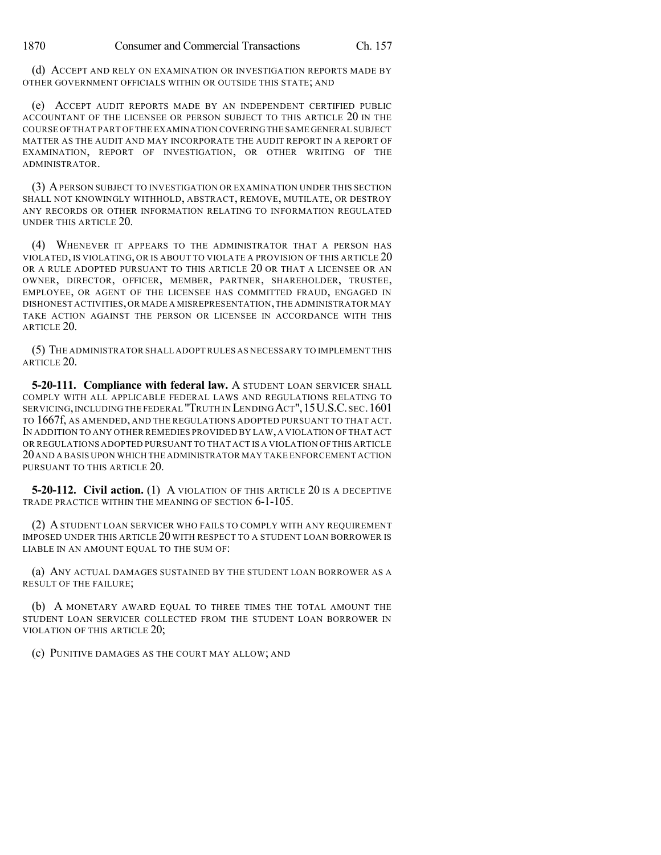(d) ACCEPT AND RELY ON EXAMINATION OR INVESTIGATION REPORTS MADE BY OTHER GOVERNMENT OFFICIALS WITHIN OR OUTSIDE THIS STATE; AND

(e) ACCEPT AUDIT REPORTS MADE BY AN INDEPENDENT CERTIFIED PUBLIC ACCOUNTANT OF THE LICENSEE OR PERSON SUBJECT TO THIS ARTICLE 20 IN THE COURSE OF THAT PART OF THE EXAMINATION COVERINGTHE SAME GENERAL SUBJECT MATTER AS THE AUDIT AND MAY INCORPORATE THE AUDIT REPORT IN A REPORT OF EXAMINATION, REPORT OF INVESTIGATION, OR OTHER WRITING OF THE ADMINISTRATOR.

(3) APERSON SUBJECT TO INVESTIGATION OR EXAMINATION UNDER THIS SECTION SHALL NOT KNOWINGLY WITHHOLD, ABSTRACT, REMOVE, MUTILATE, OR DESTROY ANY RECORDS OR OTHER INFORMATION RELATING TO INFORMATION REGULATED UNDER THIS ARTICLE 20.

(4) WHENEVER IT APPEARS TO THE ADMINISTRATOR THAT A PERSON HAS VIOLATED, IS VIOLATING, OR IS ABOUT TO VIOLATE A PROVISION OF THIS ARTICLE 20 OR A RULE ADOPTED PURSUANT TO THIS ARTICLE 20 OR THAT A LICENSEE OR AN OWNER, DIRECTOR, OFFICER, MEMBER, PARTNER, SHAREHOLDER, TRUSTEE, EMPLOYEE, OR AGENT OF THE LICENSEE HAS COMMITTED FRAUD, ENGAGED IN DISHONEST ACTIVITIES,OR MADE A MISREPRESENTATION,THE ADMINISTRATOR MAY TAKE ACTION AGAINST THE PERSON OR LICENSEE IN ACCORDANCE WITH THIS ARTICLE 20.

(5) THE ADMINISTRATOR SHALL ADOPT RULES AS NECESSARY TO IMPLEMENT THIS ARTICLE 20.

**5-20-111. Compliance with federal law.** A STUDENT LOAN SERVICER SHALL COMPLY WITH ALL APPLICABLE FEDERAL LAWS AND REGULATIONS RELATING TO SERVICING,INCLUDINGTHE FEDERAL "TRUTH IN LENDING ACT",15U.S.C.SEC.1601 TO 1667f, AS AMENDED, AND THE REGULATIONS ADOPTED PURSUANT TO THAT ACT. IN ADDITION TO ANY OTHER REMEDIES PROVIDED BY LAW,A VIOLATION OF THAT ACT OR REGULATIONS ADOPTED PURSUANT TO THAT ACT IS A VIOLATION OF THIS ARTICLE 20AND A BASIS UPON WHICH THE ADMINISTRATOR MAY TAKE ENFORCEMENT ACTION PURSUANT TO THIS ARTICLE 20.

**5-20-112. Civil action.** (1) A VIOLATION OF THIS ARTICLE 20 IS A DECEPTIVE TRADE PRACTICE WITHIN THE MEANING OF SECTION 6-1-105.

(2) ASTUDENT LOAN SERVICER WHO FAILS TO COMPLY WITH ANY REQUIREMENT IMPOSED UNDER THIS ARTICLE 20 WITH RESPECT TO A STUDENT LOAN BORROWER IS LIABLE IN AN AMOUNT EOUAL TO THE SUM OF:

(a) ANY ACTUAL DAMAGES SUSTAINED BY THE STUDENT LOAN BORROWER AS A RESULT OF THE FAILURE;

(b) A MONETARY AWARD EQUAL TO THREE TIMES THE TOTAL AMOUNT THE STUDENT LOAN SERVICER COLLECTED FROM THE STUDENT LOAN BORROWER IN VIOLATION OF THIS ARTICLE 20;

(c) PUNITIVE DAMAGES AS THE COURT MAY ALLOW; AND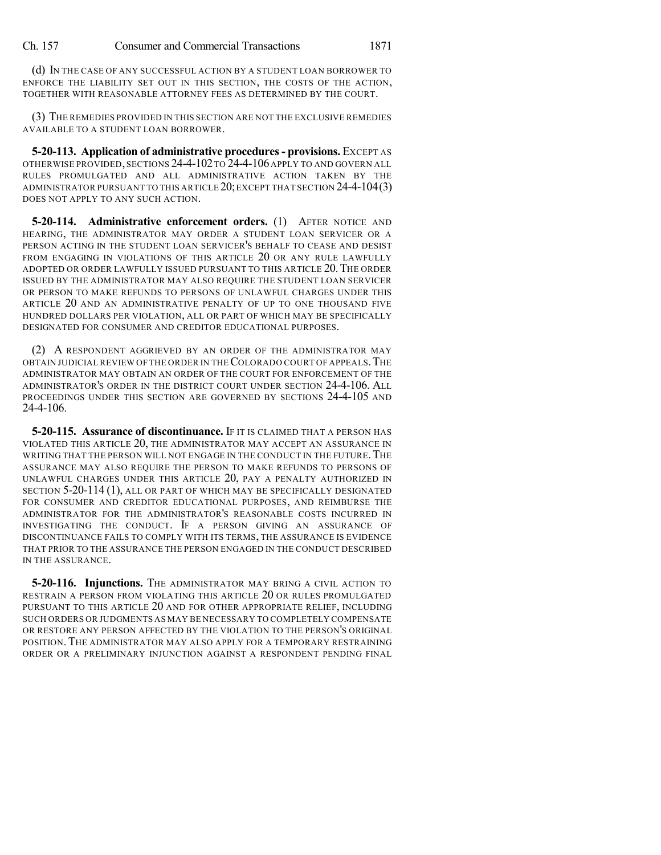(d) IN THE CASE OF ANY SUCCESSFUL ACTION BY A STUDENT LOAN BORROWER TO ENFORCE THE LIABILITY SET OUT IN THIS SECTION, THE COSTS OF THE ACTION, TOGETHER WITH REASONABLE ATTORNEY FEES AS DETERMINED BY THE COURT.

(3) THE REMEDIES PROVIDED IN THIS SECTION ARE NOT THE EXCLUSIVE REMEDIES AVAILABLE TO A STUDENT LOAN BORROWER.

**5-20-113. Application of administrative procedures- provisions.** EXCEPT AS OTHERWISE PROVIDED, SECTIONS 24-4-102TO 24-4-106APPLY TO AND GOVERN ALL RULES PROMULGATED AND ALL ADMINISTRATIVE ACTION TAKEN BY THE ADMINISTRATOR PURSUANT TO THIS ARTICLE 20;EXCEPT THAT SECTION 24-4-104(3) DOES NOT APPLY TO ANY SUCH ACTION.

**5-20-114. Administrative enforcement orders.** (1) AFTER NOTICE AND HEARING, THE ADMINISTRATOR MAY ORDER A STUDENT LOAN SERVICER OR A PERSON ACTING IN THE STUDENT LOAN SERVICER'S BEHALF TO CEASE AND DESIST FROM ENGAGING IN VIOLATIONS OF THIS ARTICLE 20 OR ANY RULE LAWFULLY ADOPTED OR ORDER LAWFULLY ISSUED PURSUANT TO THIS ARTICLE 20.THE ORDER ISSUED BY THE ADMINISTRATOR MAY ALSO REQUIRE THE STUDENT LOAN SERVICER OR PERSON TO MAKE REFUNDS TO PERSONS OF UNLAWFUL CHARGES UNDER THIS ARTICLE 20 AND AN ADMINISTRATIVE PENALTY OF UP TO ONE THOUSAND FIVE HUNDRED DOLLARS PER VIOLATION, ALL OR PART OF WHICH MAY BE SPECIFICALLY DESIGNATED FOR CONSUMER AND CREDITOR EDUCATIONAL PURPOSES.

(2) A RESPONDENT AGGRIEVED BY AN ORDER OF THE ADMINISTRATOR MAY OBTAIN JUDICIAL REVIEW OF THE ORDER IN THECOLORADO COURT OF APPEALS.THE ADMINISTRATOR MAY OBTAIN AN ORDER OF THE COURT FOR ENFORCEMENT OF THE ADMINISTRATOR'S ORDER IN THE DISTRICT COURT UNDER SECTION 24-4-106. ALL PROCEEDINGS UNDER THIS SECTION ARE GOVERNED BY SECTIONS 24-4-105 AND 24-4-106.

**5-20-115. Assurance of discontinuance.** IF IT IS CLAIMED THAT A PERSON HAS VIOLATED THIS ARTICLE 20, THE ADMINISTRATOR MAY ACCEPT AN ASSURANCE IN WRITING THAT THE PERSON WILL NOT ENGAGE IN THE CONDUCT IN THE FUTURE. THE ASSURANCE MAY ALSO REQUIRE THE PERSON TO MAKE REFUNDS TO PERSONS OF UNLAWFUL CHARGES UNDER THIS ARTICLE 20, PAY A PENALTY AUTHORIZED IN SECTION 5-20-114 (1), ALL OR PART OF WHICH MAY BE SPECIFICALLY DESIGNATED FOR CONSUMER AND CREDITOR EDUCATIONAL PURPOSES, AND REIMBURSE THE ADMINISTRATOR FOR THE ADMINISTRATOR'S REASONABLE COSTS INCURRED IN INVESTIGATING THE CONDUCT. IF A PERSON GIVING AN ASSURANCE OF DISCONTINUANCE FAILS TO COMPLY WITH ITS TERMS, THE ASSURANCE IS EVIDENCE THAT PRIOR TO THE ASSURANCE THE PERSON ENGAGED IN THE CONDUCT DESCRIBED IN THE ASSURANCE.

**5-20-116. Injunctions.** THE ADMINISTRATOR MAY BRING A CIVIL ACTION TO RESTRAIN A PERSON FROM VIOLATING THIS ARTICLE 20 OR RULES PROMULGATED PURSUANT TO THIS ARTICLE 20 AND FOR OTHER APPROPRIATE RELIEF, INCLUDING SUCH ORDERS OR JUDGMENTS AS MAY BE NECESSARY TO COMPLETELY COMPENSATE OR RESTORE ANY PERSON AFFECTED BY THE VIOLATION TO THE PERSON'S ORIGINAL POSITION. THE ADMINISTRATOR MAY ALSO APPLY FOR A TEMPORARY RESTRAINING ORDER OR A PRELIMINARY INJUNCTION AGAINST A RESPONDENT PENDING FINAL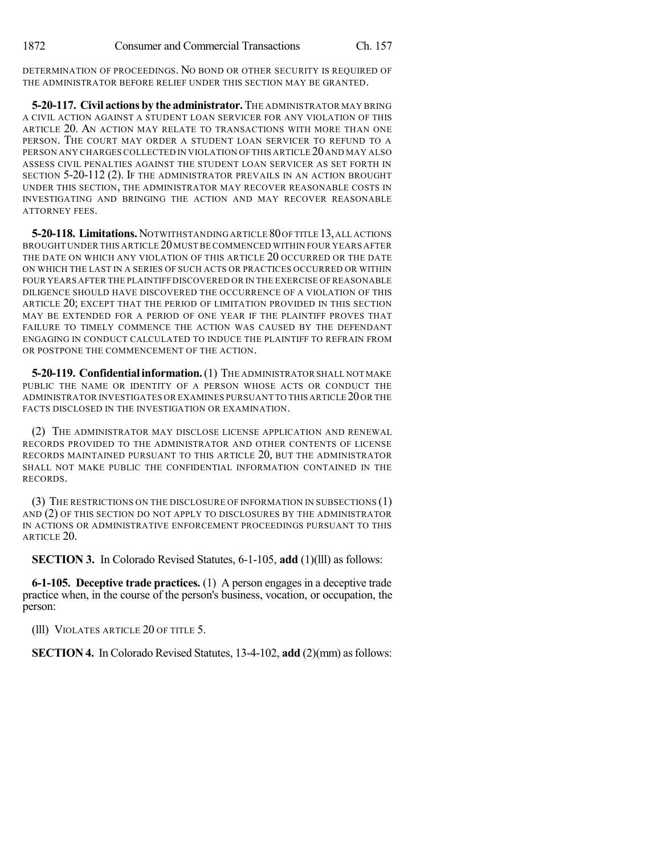DETERMINATION OF PROCEEDINGS. NO BOND OR OTHER SECURITY IS REQUIRED OF THE ADMINISTRATOR BEFORE RELIEF UNDER THIS SECTION MAY BE GRANTED.

**5-20-117. Civil actions by the administrator.**THE ADMINISTRATOR MAY BRING A CIVIL ACTION AGAINST A STUDENT LOAN SERVICER FOR ANY VIOLATION OF THIS ARTICLE 20. AN ACTION MAY RELATE TO TRANSACTIONS WITH MORE THAN ONE PERSON. THE COURT MAY ORDER A STUDENT LOAN SERVICER TO REFUND TO A PERSON ANY CHARGES COLLECTED IN VIOLATION OF THIS ARTICLE 20 AND MAY ALSO ASSESS CIVIL PENALTIES AGAINST THE STUDENT LOAN SERVICER AS SET FORTH IN SECTION 5-20-112 (2). IF THE ADMINISTRATOR PREVAILS IN AN ACTION BROUGHT UNDER THIS SECTION, THE ADMINISTRATOR MAY RECOVER REASONABLE COSTS IN INVESTIGATING AND BRINGING THE ACTION AND MAY RECOVER REASONABLE ATTORNEY FEES.

**5-20-118. Limitations.**NOTWITHSTANDINGARTICLE 80OF TITLE 13,ALL ACTIONS BROUGHT UNDER THIS ARTICLE 20MUST BE COMMENCED WITHIN FOUR YEARS AFTER THE DATE ON WHICH ANY VIOLATION OF THIS ARTICLE 20 OCCURRED OR THE DATE ON WHICH THE LAST IN A SERIES OF SUCH ACTS OR PRACTICES OCCURRED OR WITHIN FOUR YEARS AFTER THE PLAINTIFF DISCOVERED OR IN THE EXERCISE OF REASONABLE DILIGENCE SHOULD HAVE DISCOVERED THE OCCURRENCE OF A VIOLATION OF THIS ARTICLE 20; EXCEPT THAT THE PERIOD OF LIMITATION PROVIDED IN THIS SECTION MAY BE EXTENDED FOR A PERIOD OF ONE YEAR IF THE PLAINTIFF PROVES THAT FAILURE TO TIMELY COMMENCE THE ACTION WAS CAUSED BY THE DEFENDANT ENGAGING IN CONDUCT CALCULATED TO INDUCE THE PLAINTIFF TO REFRAIN FROM OR POSTPONE THE COMMENCEMENT OF THE ACTION.

**5-20-119. Confidentialinformation.**(1) THE ADMINISTRATOR SHALL NOT MAKE PUBLIC THE NAME OR IDENTITY OF A PERSON WHOSE ACTS OR CONDUCT THE ADMINISTRATOR INVESTIGATES OR EXAMINES PURSUANT TO THIS ARTICLE 20OR THE FACTS DISCLOSED IN THE INVESTIGATION OR EXAMINATION.

(2) THE ADMINISTRATOR MAY DISCLOSE LICENSE APPLICATION AND RENEWAL RECORDS PROVIDED TO THE ADMINISTRATOR AND OTHER CONTENTS OF LICENSE RECORDS MAINTAINED PURSUANT TO THIS ARTICLE 20, BUT THE ADMINISTRATOR SHALL NOT MAKE PUBLIC THE CONFIDENTIAL INFORMATION CONTAINED IN THE RECORDS.

(3) THE RESTRICTIONS ON THE DISCLOSURE OF INFORMATION IN SUBSECTIONS (1) AND (2) OF THIS SECTION DO NOT APPLY TO DISCLOSURES BY THE ADMINISTRATOR IN ACTIONS OR ADMINISTRATIVE ENFORCEMENT PROCEEDINGS PURSUANT TO THIS ARTICLE 20.

**SECTION 3.** In Colorado Revised Statutes, 6-1-105, **add** (1)(lll) as follows:

**6-1-105. Deceptive trade practices.** (1) A person engages in a deceptive trade practice when, in the course of the person's business, vocation, or occupation, the person:

(lll) VIOLATES ARTICLE 20 OF TITLE 5.

**SECTION 4.** In Colorado Revised Statutes, 13-4-102, add (2)(mm) as follows: